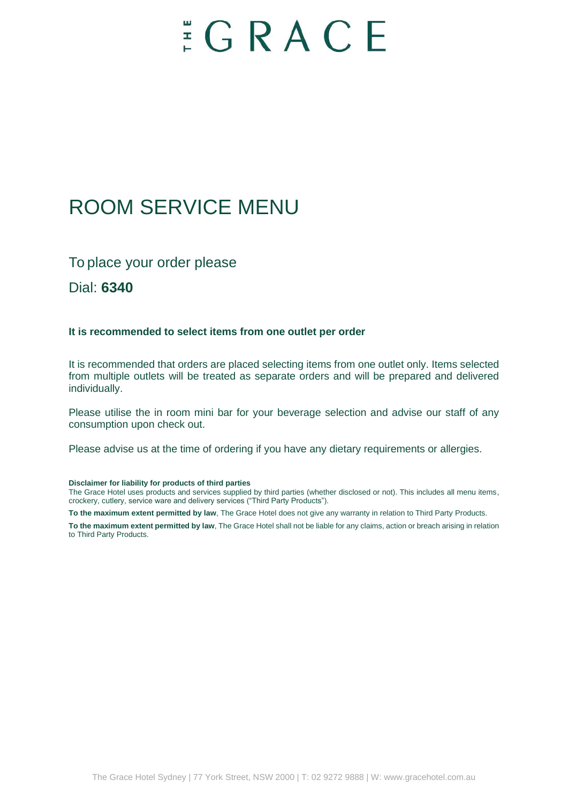# $E E G R A C E$

### ROOM SERVICE MENU

### To place your order please

Dial: **6340**

#### **It is recommended to select items from one outlet per order**

It is recommended that orders are placed selecting items from one outlet only. Items selected from multiple outlets will be treated as separate orders and will be prepared and delivered individually.

Please utilise the in room mini bar for your beverage selection and advise our staff of any consumption upon check out.

Please advise us at the time of ordering if you have any dietary requirements or allergies.

#### **Disclaimer for liability for products of third parties**

The Grace Hotel uses products and services supplied by third parties (whether disclosed or not). This includes all menu items, crockery, cutlery, service ware and delivery services ("Third Party Products").

**To the maximum extent permitted by law**, The Grace Hotel does not give any warranty in relation to Third Party Products.

**To the maximum extent permitted by law**, The Grace Hotel shall not be liable for any claims, action or breach arising in relation to Third Party Products.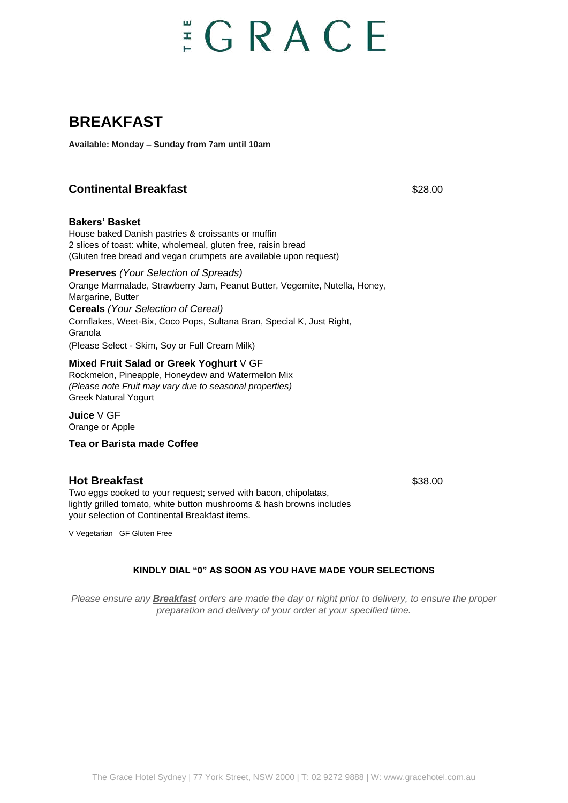# $\Xi$  G R A C E

### **BREAKFAST**

**Available: Monday – Sunday from 7am until 10am**

#### **Continental Breakfast Continental Breakfast 328.00**

#### **Bakers' Basket**

House baked Danish pastries & croissants or muffin 2 slices of toast: white, wholemeal, gluten free, raisin bread (Gluten free bread and vegan crumpets are available upon request)

#### **Preserves** *(Your Selection of Spreads)*

Orange Marmalade, Strawberry Jam, Peanut Butter, Vegemite, Nutella, Honey, Margarine, Butter **Cereals** *(Your Selection of Cereal)* Cornflakes, Weet-Bix, Coco Pops, Sultana Bran, Special K, Just Right, Granola (Please Select - Skim, Soy or Full Cream Milk)

#### **Mixed Fruit Salad or Greek Yoghurt** V GF

Rockmelon, Pineapple, Honeydew and Watermelon Mix *(Please note Fruit may vary due to seasonal properties)* Greek Natural Yogurt

**Juice** V GF Orange or Apple

#### **Tea or Barista made Coffee**

#### **Hot Breakfast** \$38.00

Two eggs cooked to your request; served with bacon, chipolatas, lightly grilled tomato, white button mushrooms & hash browns includes your selection of Continental Breakfast items.

V Vegetarian GF Gluten Free

#### **KINDLY DIAL "0" AS SOON AS YOU HAVE MADE YOUR SELECTIONS**

*Please ensure any Breakfast orders are made the day or night prior to delivery, to ensure the proper preparation and delivery of your order at your specified time.*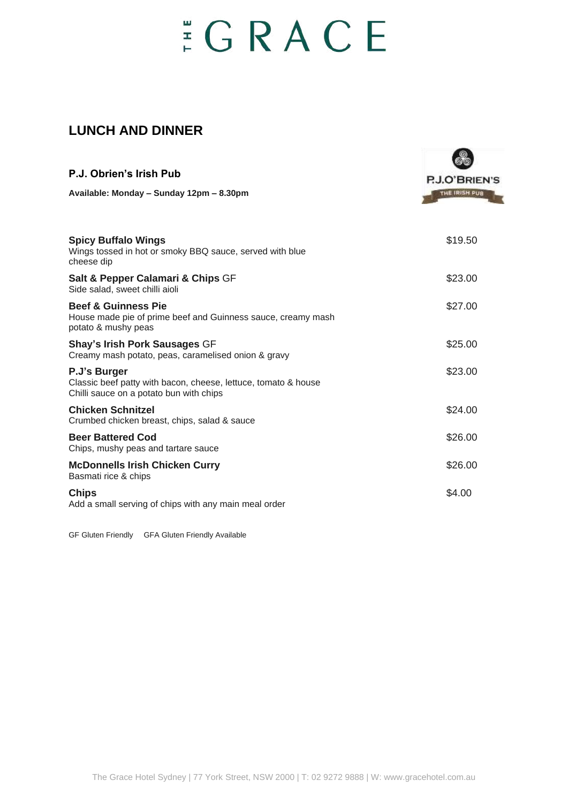# $E$ GRACE

### **LUNCH AND DINNER**

| P.J. Obrien's Irish Pub                                                                                                   | P.J.O'BRIEN'S<br>THE IRISH PUB |
|---------------------------------------------------------------------------------------------------------------------------|--------------------------------|
| Available: Monday - Sunday 12pm - 8.30pm                                                                                  |                                |
| <b>Spicy Buffalo Wings</b><br>Wings tossed in hot or smoky BBQ sauce, served with blue<br>cheese dip                      | \$19.50                        |
| Salt & Pepper Calamari & Chips GF<br>Side salad, sweet chilli aioli                                                       | \$23.00                        |
| <b>Beef &amp; Guinness Pie</b><br>House made pie of prime beef and Guinness sauce, creamy mash<br>potato & mushy peas     | \$27.00                        |
| Shay's Irish Pork Sausages GF<br>Creamy mash potato, peas, caramelised onion & gravy                                      | \$25.00                        |
| P.J's Burger<br>Classic beef patty with bacon, cheese, lettuce, tomato & house<br>Chilli sauce on a potato bun with chips | \$23.00                        |
| <b>Chicken Schnitzel</b><br>Crumbed chicken breast, chips, salad & sauce                                                  | \$24.00                        |
| <b>Beer Battered Cod</b><br>Chips, mushy peas and tartare sauce                                                           | \$26.00                        |
| <b>McDonnells Irish Chicken Curry</b><br>Basmati rice & chips                                                             | \$26.00                        |
| <b>Chips</b><br>Add a small serving of chips with any main meal order                                                     | \$4.00                         |

GF Gluten Friendly GFA Gluten Friendly Available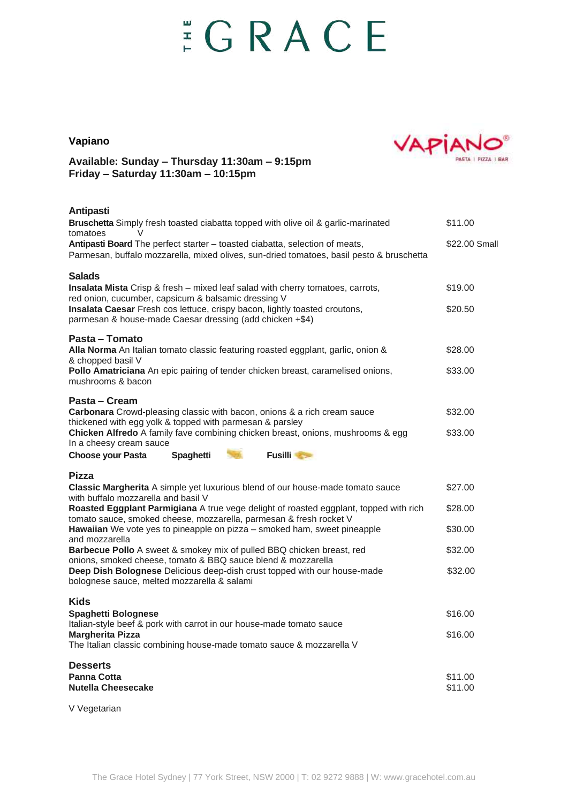# $E$ GRACE

#### **Vapiano**



#### **Available: Sunday – Thursday 11:30am – 9:15pm Friday – Saturday 11:30am – 10:15pm**

#### **Antipasti**

| Bruschetta Simply fresh toasted ciabatta topped with olive oil & garlic-marinated<br>tomatoes<br>V                                                                      | \$11.00            |
|-------------------------------------------------------------------------------------------------------------------------------------------------------------------------|--------------------|
| Antipasti Board The perfect starter - toasted ciabatta, selection of meats,<br>Parmesan, buffalo mozzarella, mixed olives, sun-dried tomatoes, basil pesto & bruschetta | \$22.00 Small      |
| <b>Salads</b><br><b>Insalata Mista</b> Crisp & fresh – mixed leaf salad with cherry tomatoes, carrots,<br>red onion, cucumber, capsicum & balsamic dressing V           | \$19.00            |
| Insalata Caesar Fresh cos lettuce, crispy bacon, lightly toasted croutons,<br>parmesan & house-made Caesar dressing (add chicken +\$4)                                  | \$20.50            |
| Pasta - Tomato<br>Alla Norma An Italian tomato classic featuring roasted eggplant, garlic, onion &<br>& chopped basil V                                                 | \$28.00            |
| Pollo Amatriciana An epic pairing of tender chicken breast, caramelised onions,<br>mushrooms & bacon                                                                    | \$33.00            |
| Pasta – Cream<br>Carbonara Crowd-pleasing classic with bacon, onions & a rich cream sauce                                                                               | \$32.00            |
| thickened with egg yolk & topped with parmesan & parsley<br>Chicken Alfredo A family fave combining chicken breast, onions, mushrooms & egg<br>In a cheesy cream sauce  | \$33.00            |
| <b>Choose your Pasta</b><br>Spaghetti<br><b>Fusilli</b>                                                                                                                 |                    |
| Pizza<br>Classic Margherita A simple yet luxurious blend of our house-made tomato sauce<br>with buffalo mozzarella and basil V                                          | \$27.00            |
| Roasted Eggplant Parmigiana A true vege delight of roasted eggplant, topped with rich<br>tomato sauce, smoked cheese, mozzarella, parmesan & fresh rocket V             | \$28.00            |
| Hawaiian We vote yes to pineapple on pizza - smoked ham, sweet pineapple<br>and mozzarella                                                                              | \$30.00            |
| Barbecue Pollo A sweet & smokey mix of pulled BBQ chicken breast, red<br>onions, smoked cheese, tomato & BBQ sauce blend & mozzarella                                   | \$32.00            |
| Deep Dish Bolognese Delicious deep-dish crust topped with our house-made<br>bolognese sauce, melted mozzarella & salami                                                 | \$32.00            |
| <b>Kids</b><br>Spaghetti Bolognese                                                                                                                                      | \$16.00            |
| Italian-style beef & pork with carrot in our house-made tomato sauce<br><b>Margherita Pizza</b><br>The Italian classic combining house-made tomato sauce & mozzarella V | \$16.00            |
| <b>Desserts</b>                                                                                                                                                         |                    |
| <b>Panna Cotta</b><br><b>Nutella Cheesecake</b>                                                                                                                         | \$11.00<br>\$11.00 |

V Vegetarian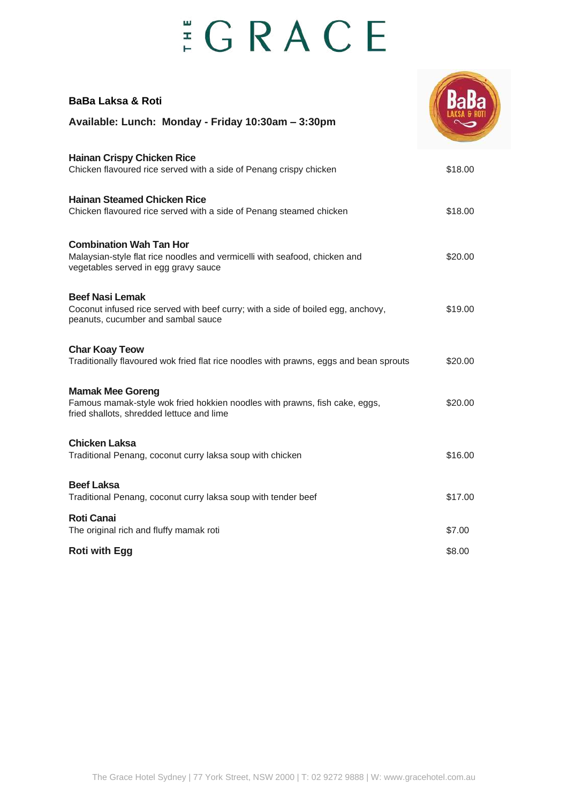# $E$ GRACE

| <b>BaBa Laksa &amp; Roti</b><br>Available: Lunch: Monday - Friday 10:30am - 3:30pm                                                                   |         |
|------------------------------------------------------------------------------------------------------------------------------------------------------|---------|
| <b>Hainan Crispy Chicken Rice</b><br>Chicken flavoured rice served with a side of Penang crispy chicken                                              | \$18.00 |
| <b>Hainan Steamed Chicken Rice</b><br>Chicken flavoured rice served with a side of Penang steamed chicken                                            | \$18.00 |
| <b>Combination Wah Tan Hor</b><br>Malaysian-style flat rice noodles and vermicelli with seafood, chicken and<br>vegetables served in egg gravy sauce | \$20.00 |
| <b>Beef Nasi Lemak</b><br>Coconut infused rice served with beef curry; with a side of boiled egg, anchovy,<br>peanuts, cucumber and sambal sauce     | \$19.00 |
| <b>Char Koay Teow</b><br>Traditionally flavoured wok fried flat rice noodles with prawns, eggs and bean sprouts                                      | \$20.00 |
| <b>Mamak Mee Goreng</b><br>Famous mamak-style wok fried hokkien noodles with prawns, fish cake, eggs,<br>fried shallots, shredded lettuce and lime   | \$20.00 |
| <b>Chicken Laksa</b><br>Traditional Penang, coconut curry laksa soup with chicken                                                                    | \$16.00 |
| <b>Beef Laksa</b><br>Traditional Penang, coconut curry laksa soup with tender beef                                                                   | \$17.00 |
| <b>Roti Canai</b><br>The original rich and fluffy mamak roti                                                                                         | \$7.00  |
| <b>Roti with Egg</b>                                                                                                                                 | \$8.00  |